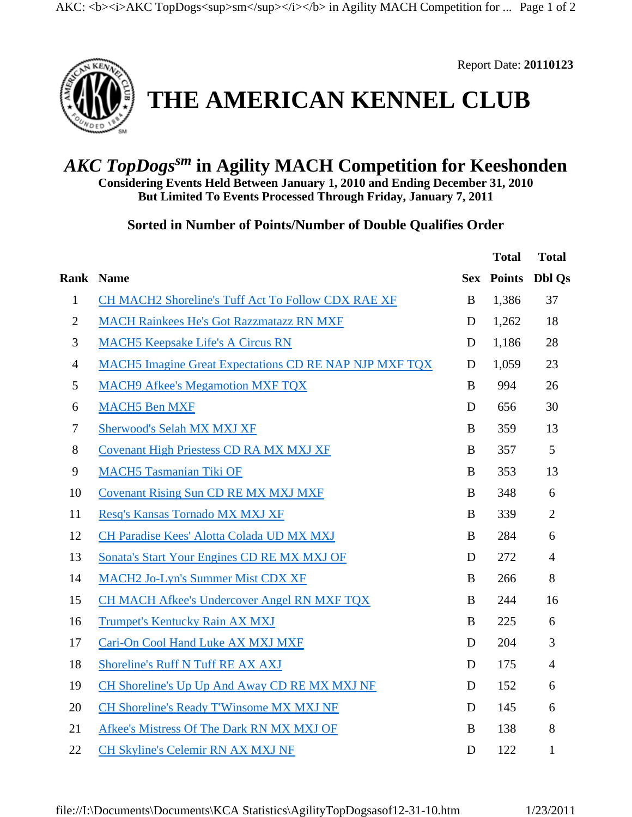

Report Date: **20110123**

## **THE AMERICAN KENNEL CLUB**

## *AKC TopDogssm* **in Agility MACH Competition for Keeshonden**

**Considering Events Held Between January 1, 2010 and Ending December 31, 2010 But Limited To Events Processed Through Friday, January 7, 2011**

**Sorted in Number of Points/Number of Double Qualifies Order** 

|                |                                                        |          | <b>Total</b>      | <b>Total</b>   |
|----------------|--------------------------------------------------------|----------|-------------------|----------------|
|                | <b>Rank Name</b>                                       |          | <b>Sex Points</b> | <b>Dbl Qs</b>  |
| $\mathbf{1}$   | CH MACH2 Shoreline's Tuff Act To Follow CDX RAE XF     | $\bf{B}$ | 1,386             | 37             |
| $\overline{2}$ | <b>MACH Rainkees He's Got Razzmatazz RN MXF</b>        | D        | 1,262             | 18             |
| 3              | <b>MACH5</b> Keepsake Life's A Circus RN               | D        | 1,186             | 28             |
| $\overline{4}$ | MACH5 Imagine Great Expectations CD RE NAP NJP MXF TQX | D        | 1,059             | 23             |
| 5              | <b>MACH9 Afkee's Megamotion MXF TQX</b>                | B        | 994               | 26             |
| 6              | <b>MACH5</b> Ben MXF                                   | D        | 656               | 30             |
| $\tau$         | Sherwood's Selah MX MXJ XF                             | B        | 359               | 13             |
| $8\,$          | <b>Covenant High Priestess CD RA MX MXJ XF</b>         | B        | 357               | 5              |
| 9              | <b>MACH5 Tasmanian Tiki OF</b>                         | B        | 353               | 13             |
| 10             | <b>Covenant Rising Sun CD RE MX MXJ MXF</b>            | $\bf{B}$ | 348               | 6              |
| 11             | Resq's Kansas Tornado MX MXJ XF                        | B        | 339               | $\overline{2}$ |
| 12             | CH Paradise Kees' Alotta Colada UD MX MXJ              | B        | 284               | 6              |
| 13             | Sonata's Start Your Engines CD RE MX MXJ OF            | D        | 272               | $\overline{4}$ |
| 14             | <b>MACH2 Jo-Lyn's Summer Mist CDX XF</b>               | B        | 266               | 8              |
| 15             | <b>CH MACH Afkee's Undercover Angel RN MXF TQX</b>     | B        | 244               | 16             |
| 16             | Trumpet's Kentucky Rain AX MXJ                         | B        | 225               | 6              |
| 17             | Cari-On Cool Hand Luke AX MXJ MXF                      | D        | 204               | 3              |
| 18             | Shoreline's Ruff N Tuff RE AX AXJ                      | D        | 175               | $\overline{4}$ |
| 19             | CH Shoreline's Up Up And Away CD RE MX MXJ NF          | D        | 152               | 6              |
| 20             | CH Shoreline's Ready T'Winsome MX MXJ NF               | D        | 145               | 6              |
| 21             | Afkee's Mistress Of The Dark RN MX MXJ OF              | B        | 138               | 8              |
| 22             | CH Skyline's Celemir RN AX MXJ NF                      | D        | 122               | $\mathbf{1}$   |